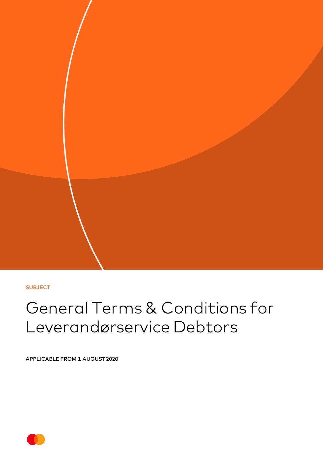**SUBJECT** 

# General Terms & Conditions for Leverandørservice Debtors

APPLICABLE FROM 1 AUGUST 2020

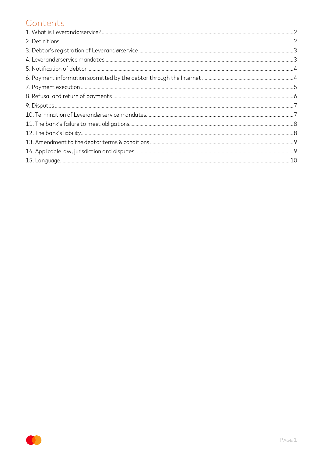### Contents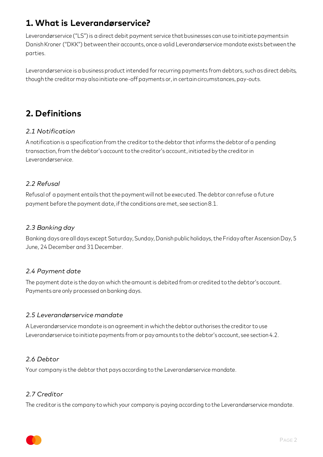## <span id="page-2-0"></span>**1. What is Leverandørservice?**

Leverandørservice ("LS") is a direct debit payment service that businesses can use to initiate payments in Danish Kroner ("DKK") between their accounts, once a valid Leverandørservice mandate exists between the parties.

Leverandørservice is a business product intended for recurring payments from debtors, such as direct debits, though the creditor may also initiate one-off payments or, in certain circumstances, pay-outs.

# <span id="page-2-1"></span>**2. Definitions**

#### *2.1 Notification*

A notification is a specification from the creditor to the debtor that informs the debtor of a pending transaction,from the debtor's account to the creditor's account, initiated by the creditor in Leverandørservice.

#### *2.2 Refusal*

Refusal of a payment entails that the payment will not be executed. The debtor can refuse a future payment before the payment date, if the conditions are met, see section 8.1.

#### *2.3 Banking day*

Banking days are all days except Saturday, Sunday, Danish public holidays, the Friday after Ascension Day, 5 June, 24 December and 31 December.

#### *2.4 Payment date*

The payment date is the day on which the amount is debited from or credited to the debtor's account. Payments are only processed on banking days.

#### *2.5 Leverandørservice mandate*

A Leverandørservice mandate is an agreement in which the debtor authorises the creditor to use Leverandørservice to initiate payments from or pay amounts to the debtor's account, see section 4.2.

#### *2.6 Debtor*

Your company is the debtor that pays according to the Leverandørservice mandate.

#### *2.7 Creditor*

The creditor is the company to which your company is paying according to the Leverandørservice mandate.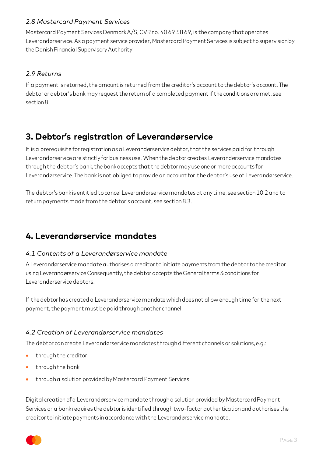#### *2.8 Mastercard Payment Services*

Mastercard Payment Services Denmark A/S, CVR no. 40 69 58 69, is the company that operates Leverandørservice. As a payment service provider, Mastercard Payment Services is subject to supervision by the Danish Financial Supervisory Authority.

#### *2.9 Returns*

If a payment is returned, the amount is returned from the creditor's account to the debtor's account. The debtor or debtor's bank may request the return of a completed payment if the conditions are met, see section 8.

### <span id="page-3-0"></span>**3. Debtor's registration of Leverandørservice**

It is a prerequisite for registration as a Leverandørservice debtor, that the services paid for through Leverandørservice are strictly for business use. When the debtor creates Leverandørservice mandates through the debtor's bank, the bank accepts that the debtor may use one or more accounts for Leverandørservice. The bank is not obliged to provide an account for the debtor's use of Leverandørservice.

The debtor's bank is entitled to cancel Leverandørservice mandates at any time, see section 10.2 and to return payments made from the debtor's account, see section 8.3.

### <span id="page-3-1"></span>**4. Leverandørservice mandates**

#### *4.1 Contents of a Leverandørservice mandate*

A Leverandørservice mandate authorises a creditor to initiate payments from the debtor to the creditor using Leverandørservice Consequently, the debtor accepts the General terms & conditions for Leverandørservice debtors.

If the debtor has created a Leverandørservice mandate which does not allow enough time for the next payment, the payment must be paid through another channel.

#### *4.2 Creation of Leverandørservice mandates*

The debtor can create Leverandørservice mandates through different channels or solutions, e.g.:

- through the creditor
- through the bank
- through a solution provided by Mastercard Payment Services.

Digital creation of a Leverandørservice mandate through a solution provided by Mastercard Payment Services or a bank requires the debtor is identified through two-factor authentication and authorises the creditor to initiate payments in accordance with the Leverandørservice mandate.

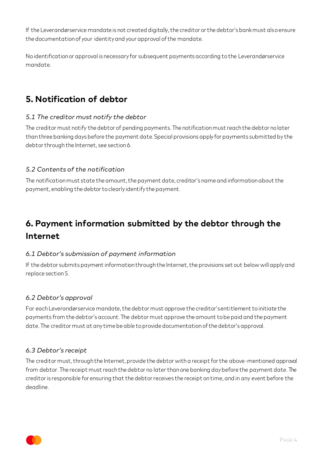If the Leverandørservice mandate is not created digitally, the creditor or the debtor's bank must also ensure the documentation of your identity and your approval of the mandate.

No identification or approval is necessary for subsequent payments according to the Leverandørservice mandate.

# <span id="page-4-0"></span>**5. Notification of debtor**

#### *5.1 The creditor must notify the debtor*

The creditor must notify the debtor of pending payments. The notification must reach the debtor no later than three banking days before the payment date. Special provisions apply for payments submitted by the debtor through the Internet, see section 6.

#### *5.2 Contents of the notification*

The notification must state the amount, the payment date, creditor's name and information about the payment, enabling the debtor to clearly identify the payment.

# <span id="page-4-1"></span>**6. Payment information submitted by the debtor through the Internet**

#### *6.1 Debtor's submission of payment information*

If the debtor submits payment information through the Internet, the provisions set out below will apply and replace section 5.

#### *6.2 Debtor's approval*

For each Leverandørservice mandate, the debtor must approve the creditor's entitlement to initiate the payments from the debtor's account. The debtor must approve the amount to be paid and the payment date. The creditor must at any time be able to provide documentation of the debtor's approval.

#### *6.3 Debtor's receipt*

The creditor must, through the Internet, provide the debtor with a receipt for the above-mentioned approval from debtor. The receipt must reach the debtor no later than one banking day before the payment date. The creditor is responsible for ensuring that the debtor receives the receipt on time, and in any event before the deadline.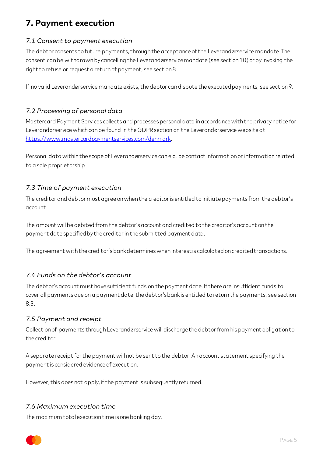# <span id="page-5-0"></span>**7. Payment execution**

#### *7.1 Consent to payment execution*

The debtor consents to future payments, through the acceptance of the Leverandørservice mandate. The consent can be withdrawn by cancelling the Leverandørservicemandate (see section 10) or by invoking the right to refuse or request a return of payment, see section 8.

If no valid Leverandørservice mandate exists, the debtor can dispute the executed payments, see section 9.

#### *7.2 Processing of personal data*

Mastercard Payment Services collects and processes personal data in accordance with the privacy notice for Leverandørservice which can be found in the GDPR section on the Leverandørservice website at <https://www.mastercardpaymentservices.com/denmark>.

Personal data within the scope of Leverandørservice can e.g. be contact information or information related to a sole proprietorship.

#### *7.3 Time of payment execution*

The creditor and debtor must agree on when the creditor is entitled to initiate payments from the debtor's account.

The amount will be debited from the debtor's account and credited to the creditor's account on the payment date specified by the creditor in the submitted payment data.

The agreement with the creditor's bank determines when interest is calculated on credited transactions.

#### *7.4 Funds on the debtor's account*

The debtor's account must have sufficient funds on the payment date. If there are insufficient funds to cover all payments due on a payment date, the debtor's bank is entitled to return the payments, see section 8.3.

#### *7.5 Payment and receipt*

Collection of payments through Leverandørservice will discharge the debtor from his payment obligation to the creditor.

A separate receipt for the payment will not be sent to the debtor. An account statement specifying the payment is considered evidence of execution.

However, this does not apply, if the payment is subsequently returned.

#### *7.6 Maximum execution time*

The maximum total execution time is one banking day.

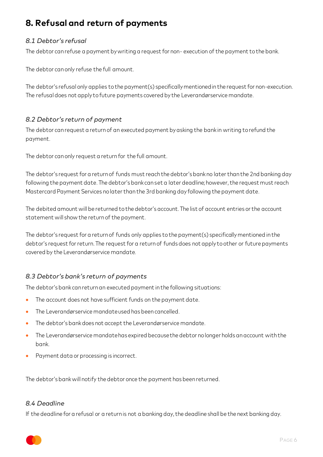# <span id="page-6-0"></span>**8. Refusal and return of payments**

#### *8.1 Debtor's refusal*

The debtor can refuse a payment by writing a request for non- execution of the payment to the bank.

The debtor can only refuse the full amount.

The debtor's refusal only applies to the payment(s) specifically mentioned in the request for non-execution. The refusal does not apply to future payments covered by the Leverandørservice mandate.

#### *8.2 Debtor's return of payment*

The debtor can request a return of an executed payment by asking the bank in writing to refund the payment.

The debtor can only request a return for the full amount.

The debtor's request for a return of funds must reach the debtor's bank no later than the 2nd banking day following the payment date. The debtor's bank can set a later deadline; however, the request must reach Mastercard Payment Services no later than the 3rd banking day following the payment date.

The debited amount will be returned to the debtor's account. The list of account entries or the account statement will show the return of the payment.

The debtor's request for a return of funds only applies to the payment(s) specifically mentioned in the debtor's request for return. The request for a return of funds does not apply to other or future payments covered by the Leverandørservice mandate.

#### *8.3 Debtor's bank's return of payments*

The debtor's bank can return an executed payment in the following situations:

- The account does not have sufficient funds on the payment date.
- The Leverandørservice mandate used has been cancelled.
- The debtor's bank does not accept the Leverandørservice mandate.
- The Leverandørservice mandate has expired because the debtor no longer holds an account with the bank.
- Payment data or processing is incorrect.

The debtor's bank will notify the debtor once the payment has been returned.

#### *8.4 Deadline*

If the deadline for a refusal or a return is not a banking day, the deadline shall be the next banking day.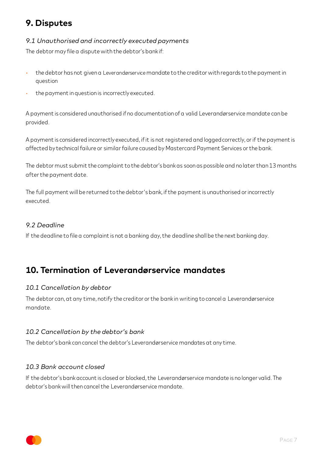# <span id="page-7-0"></span>**9. Disputes**

#### *9.1 Unauthorised and incorrectly executed payments*

The debtor may file a dispute with the debtor's bank if:

- the debtor has not given a Leverandørservicemandate to the creditor with regards to the payment in question
- the payment in question is incorrectly executed.

A payment is considered unauthorised if no documentation of a valid Leverandørservice mandate can be provided.

A payment is considered incorrectly executed, if it is not registered and logged correctly, or if the payment is affected by technical failure or similar failure caused by Mastercard Payment Services or the bank.

The debtor must submit the complaint to the debtor's bank as soon as possible and no later than 13 months after the payment date.

The full payment will be returned to the debtor's bank, if the payment is unauthorised or incorrectly executed.

#### *9.2 Deadline*

If the deadline to file a complaint is not a banking day, the deadline shall be the next banking day.

### <span id="page-7-1"></span>**10. Termination of Leverandørservice mandates**

#### *10.1 Cancellation by debtor*

The debtor can, at any time, notify the creditor or the bank in writing to cancel a Leverandørservice mandate.

#### *10.2 Cancellation by the debtor's bank*

The debtor's bank can cancel the debtor's Leverandørservice mandates at any time.

#### *10.3 Bank account closed*

If the debtor's bank account is closed or blocked, the Leverandørservice mandate is no longer valid. The debtor's bank will then cancel the Leverandørservice mandate.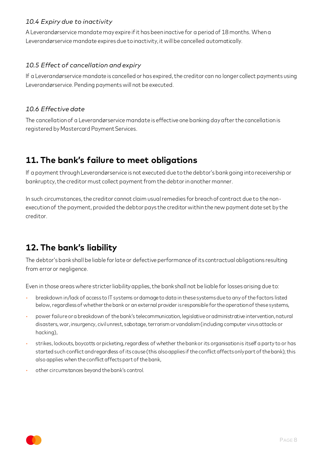#### *10.4 Expiry due to inactivity*

A Leverandørservice mandate may expire if it has been inactive for a period of 18 months. When a Leverandørservice mandate expires due to inactivity, it will be cancelled automatically.

#### *10.5 Effect of cancellation and expiry*

If a Leverandørservice mandate is cancelled or has expired, the creditor can no longer collect payments using Leverandørservice. Pending payments will not be executed.

#### *10.6 Effective date*

The cancellation of a Leverandørservice mandate is effective one banking day after the cancellation is registered by Mastercard Payment Services.

### <span id="page-8-0"></span>**11. The bank's failure to meet obligations**

If a payment through Leverandørservice is not executed due to the debtor's bank going into receivership or bankruptcy, the creditor must collect payment from the debtor in another manner.

In such circumstances, the creditor cannot claim usual remedies for breach of contract due to the nonexecution of the payment, provided the debtor pays the creditor within the new payment date set by the creditor.

# <span id="page-8-1"></span>**12. The bank's liability**

The debtor's bank shall be liable for late or defective performance of its contractual obligations resulting from error or negligence.

Even in those areas where stricter liability applies, the bank shall not be liable for losses arising due to:

- breakdown in/lack of access to IT systems or damage to data in these systems due to any of the factors listed below, regardless of whether the bank or an external provider is responsible for the operation of these systems,
- power failure or a breakdown of the bank's telecommunication, legislative or administrative intervention, natural disasters, war, insurgency, civil unrest, sabotage, terrorism or vandalism (including computer virus attacks or hacking),
- strikes, lockouts, boycotts or picketing, regardless of whether the bank or its organisation is itself a party to or has started such conflict and regardless of its cause (this also applies if the conflict affects only part of the bank); this also applies when the conflict affects part of the bank,
- other circumstances beyond the bank's control.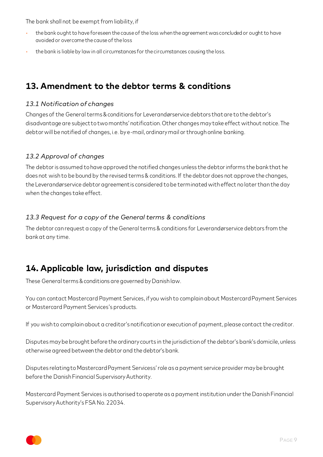The bank shall not be exempt from liability, if

- the bank ought to have foreseen the cause of the loss when the agreement was concluded or ought to have avoided or overcome the cause of the loss
- the bank is liable by law in all circumstances for the circumstances causing the loss.

## <span id="page-9-0"></span>**13. Amendment to the debtor terms & conditions**

#### *13.1 Notification of changes*

Changes of the General terms & conditions for Leverandørservice debtors that are to the debtor's disadvantage are subject to two months' notification. Other changes may take effect without notice. The debtor will be notified of changes, i.e. by e-mail, ordinary mail or through online banking.

#### *13.2 Approval of changes*

The debtor is assumed to have approved the notified changes unless the debtor informs the bank that he does not wish to be bound by the revised terms & conditions. If the debtor does not approve the changes, the Leverandørservice debtor agreement is considered to be terminated with effect no later than the day when the changes take effect.

#### *13.3 Request for a copy of the General terms & conditions*

The debtor can request a copy of the General terms & conditions for Leverandørservice debtors from the bank at any time.

### <span id="page-9-1"></span>**14. Applicable law, jurisdiction and disputes**

These General terms & conditions are governed by Danish law.

You can contact Mastercard Payment Services, if you wish to complain about Mastercard Payment Services or Mastercard Payment Services's products.

If you wish to complain about a creditor's notification or execution of payment, please contact the creditor.

Disputes may be brought before the ordinary courts in the jurisdiction of the debtor's bank's domicile, unless otherwise agreed between the debtor and the debtor's bank.

Disputes relating to Mastercard Payment Servicess' role as a payment service provider may be brought before the Danish Financial Supervisory Authority.

Mastercard Payment Services is authorised to operate as a payment institution under the Danish Financial Supervisory Authority's FSA No. 22034.